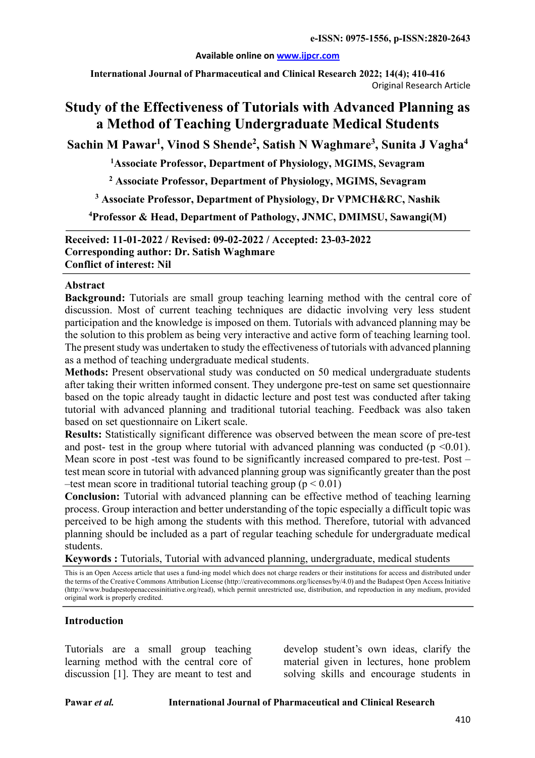#### **Available online on www.ijpcr.com**

**International Journal of Pharmaceutical and Clinical Research 2022; 14(4); 410-416** Original Research Article

# **Study of the Effectiveness of Tutorials with Advanced Planning as a Method of Teaching Undergraduate Medical Students**

**Sachin M Pawar1 , Vinod S Shende2 , Satish N Waghmare3 , Sunita J Vagha4**

**1 Associate Professor, Department of Physiology, MGIMS, Sevagram**

**<sup>2</sup> Associate Professor, Department of Physiology, MGIMS, Sevagram**

**<sup>3</sup> Associate Professor, Department of Physiology, Dr VPMCH&RC, Nashik**

**4 Professor & Head, Department of Pathology, JNMC, DMIMSU, Sawangi(M)**

**Received: 11-01-2022 / Revised: 09-02-2022 / Accepted: 23-03-2022 Corresponding author: Dr. Satish Waghmare Conflict of interest: Nil**

#### **Abstract**

**Background:** Tutorials are small group teaching learning method with the central core of discussion. Most of current teaching techniques are didactic involving very less student participation and the knowledge is imposed on them. Tutorials with advanced planning may be the solution to this problem as being very interactive and active form of teaching learning tool. The present study was undertaken to study the effectiveness of tutorials with advanced planning as a method of teaching undergraduate medical students.

**Methods:** Present observational study was conducted on 50 medical undergraduate students after taking their written informed consent. They undergone pre-test on same set questionnaire based on the topic already taught in didactic lecture and post test was conducted after taking tutorial with advanced planning and traditional tutorial teaching. Feedback was also taken based on set questionnaire on Likert scale.

**Results:** Statistically significant difference was observed between the mean score of pre-test and post- test in the group where tutorial with advanced planning was conducted ( $p \le 0.01$ ). Mean score in post -test was found to be significantly increased compared to pre-test. Post – test mean score in tutorial with advanced planning group was significantly greater than the post –test mean score in traditional tutorial teaching group ( $p < 0.01$ )

**Conclusion:** Tutorial with advanced planning can be effective method of teaching learning process. Group interaction and better understanding of the topic especially a difficult topic was perceived to be high among the students with this method. Therefore, tutorial with advanced planning should be included as a part of regular teaching schedule for undergraduate medical students.

**Keywords :** Tutorials, Tutorial with advanced planning, undergraduate, medical students

This is an Open Access article that uses a fund-ing model which does not charge readers or their institutions for access and distributed under the terms of the Creative Commons Attribution License (http://creativecommons.org/licenses/by/4.0) and the Budapest Open Access Initiative (http://www.budapestopenaccessinitiative.org/read), which permit unrestricted use, distribution, and reproduction in any medium, provided original work is properly credited.

## **Introduction**

Tutorials are a small group teaching learning method with the central core of discussion [1]. They are meant to test and

develop student's own ideas, clarify the material given in lectures, hone problem solving skills and encourage students in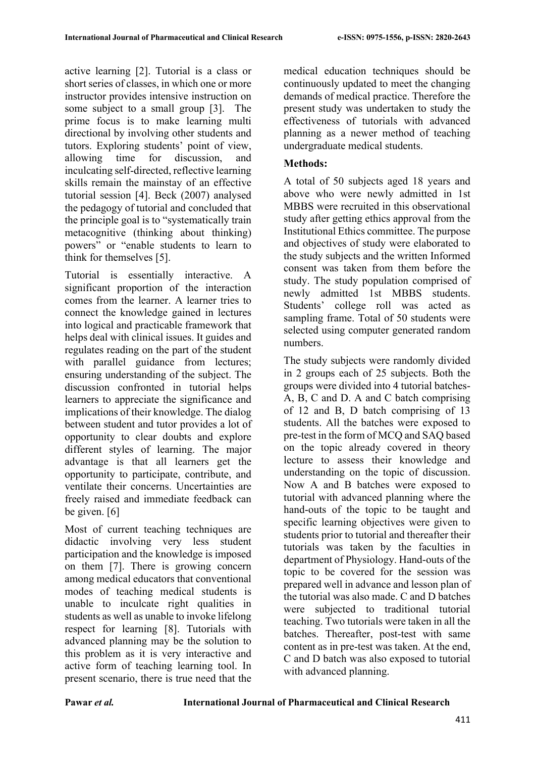active learning [2]. Tutorial is a class or short series of classes, in which one or more instructor provides intensive instruction on some subject to a small group [3]. The prime focus is to make learning multi directional by involving other students and tutors. Exploring students' point of view, allowing time for discussion, and inculcating self-directed, reflective learning skills remain the mainstay of an effective tutorial session [4]. Beck (2007) analysed the pedagogy of tutorial and concluded that the principle goal is to "systematically train metacognitive (thinking about thinking) powers" or "enable students to learn to think for themselves [5].

Tutorial is essentially interactive. A significant proportion of the interaction comes from the learner. A learner tries to connect the knowledge gained in lectures into logical and practicable framework that helps deal with clinical issues. It guides and regulates reading on the part of the student with parallel guidance from lectures; ensuring understanding of the subject. The discussion confronted in tutorial helps learners to appreciate the significance and implications of their knowledge. The dialog between student and tutor provides a lot of opportunity to clear doubts and explore different styles of learning. The major advantage is that all learners get the opportunity to participate, contribute, and ventilate their concerns. Uncertainties are freely raised and immediate feedback can be given. [6]

Most of current teaching techniques are didactic involving very less student participation and the knowledge is imposed on them [7]. There is growing concern among medical educators that conventional modes of teaching medical students is unable to inculcate right qualities in students as well as unable to invoke lifelong respect for learning [8]. Tutorials with advanced planning may be the solution to this problem as it is very interactive and active form of teaching learning tool. In present scenario, there is true need that the

medical education techniques should be continuously updated to meet the changing demands of medical practice. Therefore the present study was undertaken to study the effectiveness of tutorials with advanced planning as a newer method of teaching undergraduate medical students.

## **Methods:**

A total of 50 subjects aged 18 years and above who were newly admitted in 1st MBBS were recruited in this observational study after getting ethics approval from the Institutional Ethics committee. The purpose and objectives of study were elaborated to the study subjects and the written Informed consent was taken from them before the study. The study population comprised of newly admitted 1st MBBS students. Students' college roll was acted as sampling frame. Total of 50 students were selected using computer generated random numbers.

The study subjects were randomly divided in 2 groups each of 25 subjects. Both the groups were divided into 4 tutorial batches-A, B, C and D. A and C batch comprising of 12 and B, D batch comprising of 13 students. All the batches were exposed to pre-test in the form of MCQ and SAQ based on the topic already covered in theory lecture to assess their knowledge and understanding on the topic of discussion. Now A and B batches were exposed to tutorial with advanced planning where the hand-outs of the topic to be taught and specific learning objectives were given to students prior to tutorial and thereafter their tutorials was taken by the faculties in department of Physiology. Hand-outs of the topic to be covered for the session was prepared well in advance and lesson plan of the tutorial was also made. C and D batches were subjected to traditional tutorial teaching. Two tutorials were taken in all the batches. Thereafter, post-test with same content as in pre-test was taken. At the end, C and D batch was also exposed to tutorial with advanced planning.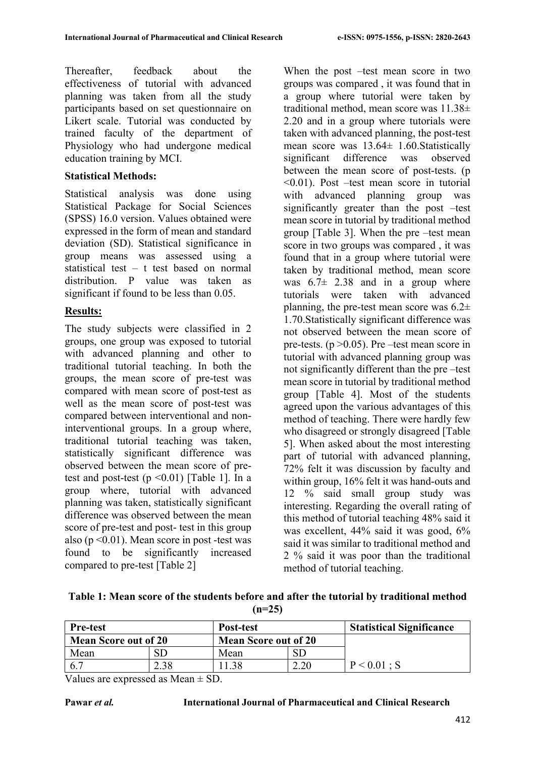Thereafter, feedback about the effectiveness of tutorial with advanced planning was taken from all the study participants based on set questionnaire on Likert scale. Tutorial was conducted by trained faculty of the department of Physiology who had undergone medical education training by MCI.

### **Statistical Methods:**

Statistical analysis was done using Statistical Package for Social Sciences (SPSS) 16.0 version. Values obtained were expressed in the form of mean and standard deviation (SD). Statistical significance in group means was assessed using a statistical test – t test based on normal distribution. P value was taken as significant if found to be less than 0.05.

## **Results:**

The study subjects were classified in 2 groups, one group was exposed to tutorial with advanced planning and other to traditional tutorial teaching. In both the groups, the mean score of pre-test was compared with mean score of post-test as well as the mean score of post-test was compared between interventional and noninterventional groups. In a group where, traditional tutorial teaching was taken, statistically significant difference was observed between the mean score of pretest and post-test  $(p \le 0.01)$  [Table 1]. In a group where, tutorial with advanced planning was taken, statistically significant difference was observed between the mean score of pre-test and post- test in this group also ( $p \le 0.01$ ). Mean score in post-test was found to be significantly increased compared to pre-test [Table 2]

When the post –test mean score in two groups was compared , it was found that in a group where tutorial were taken by traditional method, mean score was 11.38± 2.20 and in a group where tutorials were taken with advanced planning, the post-test mean score was  $13.64 \pm 1.60$ . Statistically significant difference was observed between the mean score of post-tests. (p <0.01). Post –test mean score in tutorial with advanced planning group was significantly greater than the post –test mean score in tutorial by traditional method group [Table 3]. When the pre –test mean score in two groups was compared , it was found that in a group where tutorial were taken by traditional method, mean score was  $6.7\pm 2.38$  and in a group where tutorials were taken with advanced planning, the pre-test mean score was  $6.2\pm$ 1.70.Statistically significant difference was not observed between the mean score of pre-tests.  $(p > 0.05)$ . Pre –test mean score in tutorial with advanced planning group was not significantly different than the pre –test mean score in tutorial by traditional method group [Table 4]. Most of the students agreed upon the various advantages of this method of teaching. There were hardly few who disagreed or strongly disagreed [Table 5]. When asked about the most interesting part of tutorial with advanced planning, 72% felt it was discussion by faculty and within group, 16% felt it was hand-outs and 12 % said small group study was interesting. Regarding the overall rating of this method of tutorial teaching 48% said it was excellent, 44% said it was good, 6% said it was similar to traditional method and 2 % said it was poor than the traditional method of tutorial teaching.

**Table 1: Mean score of the students before and after the tutorial by traditional method (n=25)**

| <b>Pre-test</b>                                            |      | Post-test |  | <b>Statistical Significance</b> |  |
|------------------------------------------------------------|------|-----------|--|---------------------------------|--|
| <b>Mean Score out of 20</b><br><b>Mean Score out of 20</b> |      |           |  |                                 |  |
| Mean                                                       |      | Mean      |  |                                 |  |
| 6.7                                                        | 2.38 | .38       |  | P < 0.01 : S                    |  |

Values are expressed as Mean  $\pm$  SD.

#### **Pawar** *et al.* **International Journal of Pharmaceutical and Clinical Research**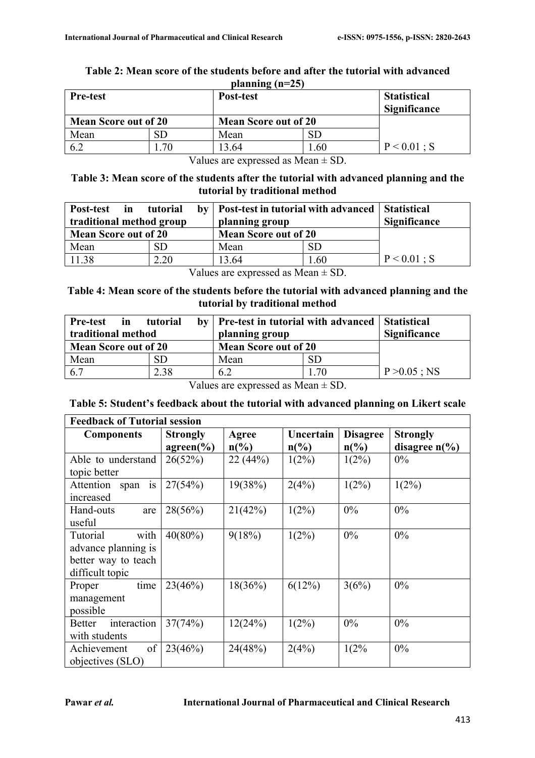| <b>Pre-test</b>             |    | $\mu$ anning (n–25)<br><b>Post-test</b> |                     | <b>Statistical</b><br><b>Significance</b> |
|-----------------------------|----|-----------------------------------------|---------------------|-------------------------------------------|
| <b>Mean Score out of 20</b> |    | <b>Mean Score out of 20</b>             |                     |                                           |
| Mean                        |    | Mean                                    | $\operatorname{SL}$ |                                           |
| 6.2                         | 70 | 13.64                                   | 0.60                | $P < 0.01$ ; S                            |

#### **Table 2: Mean score of the students before and after the tutorial with advanced planning (n=25)**

Values are expressed as  $Mean \pm SD$ .

#### **Table 3: Mean score of the students after the tutorial with advanced planning and the tutorial by traditional method**

| Post-test<br>in<br>traditional method group | tutorial | by   Post-test in tutorial with advanced<br>planning group |     | <b>Statistical</b><br><b>Significance</b> |
|---------------------------------------------|----------|------------------------------------------------------------|-----|-------------------------------------------|
| <b>Mean Score out of 20</b>                 |          | <b>Mean Score out of 20</b>                                |     |                                           |
| Mean                                        | SD.      | Mean                                                       | SD  |                                           |
| 11.38                                       | 2.20     | 13.64                                                      | .60 | $P < 0.01$ ; S                            |

Values are expressed as  $Mean \pm SD$ .

#### **Table 4: Mean score of the students before the tutorial with advanced planning and the tutorial by traditional method**

| Pre-test in<br>traditional method | tutorial | by   Pre-test in tutorial with advanced<br>planning group |           | <b>Statistical</b><br><b>Significance</b> |
|-----------------------------------|----------|-----------------------------------------------------------|-----------|-------------------------------------------|
| <b>Mean Score out of 20</b>       |          | <b>Mean Score out of 20</b>                               |           |                                           |
| Mean                              | SD.      | Mean                                                      | <b>SD</b> |                                           |
| 6.7                               | 2.38     | 6.2                                                       | 0.70      | $P > 0.05$ ; NS                           |

Values are expressed as  $Mean \pm SD$ .

#### **Table 5: Student's feedback about the tutorial with advanced planning on Likert scale**

| <b>Feedback of Tutorial session</b> |                 |                 |                             |                 |                         |
|-------------------------------------|-----------------|-----------------|-----------------------------|-----------------|-------------------------|
| <b>Components</b>                   | <b>Strongly</b> | Agree           | Uncertain                   | <b>Disagree</b> | <b>Strongly</b>         |
|                                     | $agreen(\%)$    | $n\binom{0}{0}$ | $n\left(\frac{0}{0}\right)$ | $n\binom{0}{0}$ | disagree $n\frac{6}{6}$ |
| Able to understand                  | 26(52%)         | 22(44%)         | $1(2\%)$                    | $1(2\%)$        | $0\%$                   |
| topic better                        |                 |                 |                             |                 |                         |
| Attention span<br>1S                | 27(54%)         | 19(38%)         | 2(4%)                       | $1(2\%)$        | $1(2\%)$                |
| increased                           |                 |                 |                             |                 |                         |
| Hand-outs<br>are                    | 28(56%)         | 21(42%)         | $1(2\%)$                    | $0\%$           | $0\%$                   |
| useful                              |                 |                 |                             |                 |                         |
| with<br>Tutorial                    | $40(80\%)$      | 9(18%)          | $1(2\%)$                    | 0%              | $0\%$                   |
| advance planning is                 |                 |                 |                             |                 |                         |
| better way to teach                 |                 |                 |                             |                 |                         |
| difficult topic                     |                 |                 |                             |                 |                         |
| time<br>Proper                      | 23(46%)         | 18(36%)         | 6(12%)                      | 3(6%)           | $0\%$                   |
| management                          |                 |                 |                             |                 |                         |
| possible                            |                 |                 |                             |                 |                         |
| interaction<br><b>Better</b>        | 37(74%)         | 12(24%)         | $1(2\%)$                    | 0%              | $0\%$                   |
| with students                       |                 |                 |                             |                 |                         |
| of<br>Achievement                   | 23(46%)         | 24(48%)         | 2(4%)                       | 1(2%            | $0\%$                   |
| objectives (SLO)                    |                 |                 |                             |                 |                         |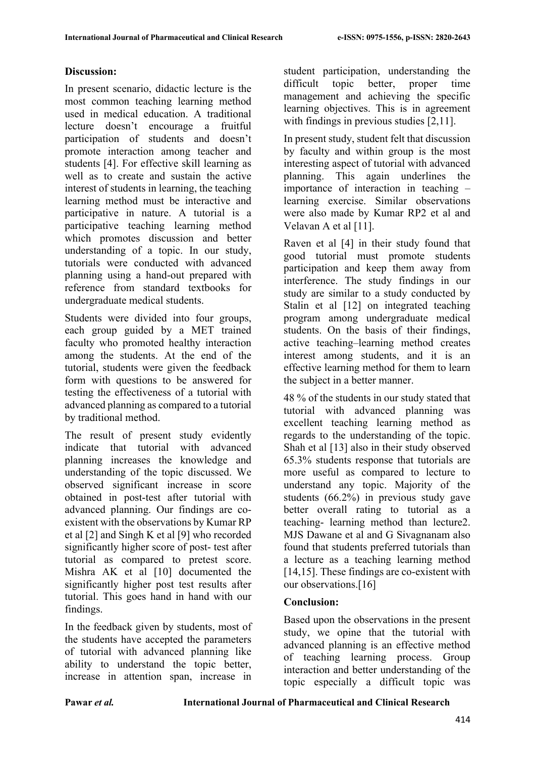## **Discussion:**

In present scenario, didactic lecture is the most common teaching learning method used in medical education. A traditional lecture doesn't encourage a fruitful participation of students and doesn't promote interaction among teacher and students [4]. For effective skill learning as well as to create and sustain the active interest of students in learning, the teaching learning method must be interactive and participative in nature. A tutorial is a participative teaching learning method which promotes discussion and better understanding of a topic. In our study, tutorials were conducted with advanced planning using a hand-out prepared with reference from standard textbooks for undergraduate medical students.

Students were divided into four groups, each group guided by a MET trained faculty who promoted healthy interaction among the students. At the end of the tutorial, students were given the feedback form with questions to be answered for testing the effectiveness of a tutorial with advanced planning as compared to a tutorial by traditional method.

The result of present study evidently indicate that tutorial with advanced planning increases the knowledge and understanding of the topic discussed. We observed significant increase in score obtained in post-test after tutorial with advanced planning. Our findings are coexistent with the observations by Kumar RP et al [2] and Singh K et al [9] who recorded significantly higher score of post- test after tutorial as compared to pretest score. Mishra AK et al [10] documented the significantly higher post test results after tutorial. This goes hand in hand with our findings.

In the feedback given by students, most of the students have accepted the parameters of tutorial with advanced planning like ability to understand the topic better, increase in attention span, increase in

student participation, understanding the difficult topic better, proper time management and achieving the specific learning objectives. This is in agreement with findings in previous studies [2,11].

In present study, student felt that discussion by faculty and within group is the most interesting aspect of tutorial with advanced planning. This again underlines the importance of interaction in teaching – learning exercise. Similar observations were also made by Kumar RP2 et al and Velavan A et al [11].

Raven et al [4] in their study found that good tutorial must promote students participation and keep them away from interference. The study findings in our study are similar to a study conducted by Stalin et al [12] on integrated teaching program among undergraduate medical students. On the basis of their findings, active teaching–learning method creates interest among students, and it is an effective learning method for them to learn the subject in a better manner.

48 % of the students in our study stated that tutorial with advanced planning was excellent teaching learning method as regards to the understanding of the topic. Shah et al [13] also in their study observed 65.3% students response that tutorials are more useful as compared to lecture to understand any topic. Majority of the students (66.2%) in previous study gave better overall rating to tutorial as a teaching- learning method than lecture2. MJS Dawane et al and G Sivagnanam also found that students preferred tutorials than a lecture as a teaching learning method [14,15]. These findings are co-existent with our observations.[16]

## **Conclusion:**

Based upon the observations in the present study, we opine that the tutorial with advanced planning is an effective method of teaching learning process. Group interaction and better understanding of the topic especially a difficult topic was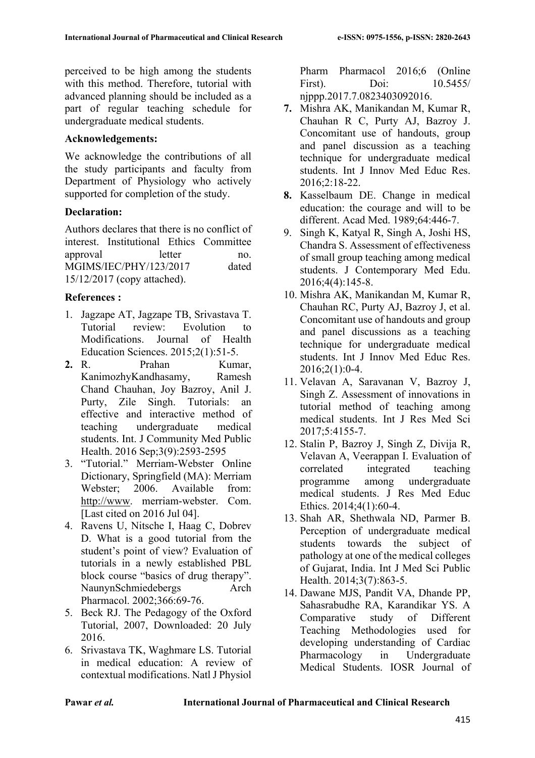perceived to be high among the students with this method. Therefore, tutorial with advanced planning should be included as a part of regular teaching schedule for undergraduate medical students.

#### **Acknowledgements:**

We acknowledge the contributions of all the study participants and faculty from Department of Physiology who actively supported for completion of the study.

#### **Declaration:**

Authors declares that there is no conflict of interest. Institutional Ethics Committee approval letter no. MGIMS/IEC/PHY/123/2017 dated 15/12/2017 (copy attached).

## **References :**

- 1. Jagzape AT, Jagzape TB, Srivastava T. Tutorial review: Evolution to Modifications. Journal of Health Education Sciences. 2015;2(1):51-5.
- **2.** R. Prahan Kumar, KanimozhyKandhasamy, Ramesh Chand Chauhan, Joy Bazroy, Anil J. Purty, Zile Singh. Tutorials: an effective and interactive method of teaching undergraduate medical students. Int. J Community Med Public Health. 2016 Sep;3(9):2593-2595
- 3. "Tutorial." Merriam-Webster Online Dictionary, Springfield (MA): Merriam Webster; 2006. Available from: http://www. merriam-webster. Com. [Last cited on 2016 Jul 04].
- 4. Ravens U, Nitsche I, Haag C, Dobrev D. What is a good tutorial from the student's point of view? Evaluation of tutorials in a newly established PBL block course "basics of drug therapy". NaunynSchmiedebergs Arch Pharmacol. 2002;366:69-76.
- 5. Beck RJ. The Pedagogy of the Oxford Tutorial, 2007, Downloaded: 20 July 2016.
- 6. Srivastava TK, Waghmare LS. Tutorial in medical education: A review of contextual modifications. Natl J Physiol

Pharm Pharmacol 2016;6 (Online First). Doi: 10.5455/ njppp.2017.7.0823403092016.

- **7.** Mishra AK, Manikandan M, Kumar R, Chauhan R C, Purty AJ, Bazroy J. Concomitant use of handouts, group and panel discussion as a teaching technique for undergraduate medical students. Int J Innov Med Educ Res. 2016;2:18-22.
- **8.** Kasselbaum DE. Change in medical education: the courage and will to be different. Acad Med. 1989;64:446-7.
- 9. Singh K, Katyal R, Singh A, Joshi HS, Chandra S. Assessment of effectiveness of small group teaching among medical students. J Contemporary Med Edu. 2016;4(4):145-8.
- 10. Mishra AK, Manikandan M, Kumar R, Chauhan RC, Purty AJ, Bazroy J, et al. Concomitant use of handouts and group and panel discussions as a teaching technique for undergraduate medical students. Int J Innov Med Educ Res. 2016;2(1):0-4.
- 11. Velavan A, Saravanan V, Bazroy J, Singh Z. Assessment of innovations in tutorial method of teaching among medical students. Int J Res Med Sci 2017;5:4155-7.
- 12. Stalin P, Bazroy J, Singh Z, Divija R, Velavan A, Veerappan I. Evaluation of correlated integrated teaching programme among undergraduate medical students. J Res Med Educ Ethics. 2014;4(1):60-4.
- 13. Shah AR, Shethwala ND, Parmer B. Perception of undergraduate medical students towards the subject of pathology at one of the medical colleges of Gujarat, India. Int J Med Sci Public Health. 2014;3(7):863-5.
- 14. Dawane MJS, Pandit VA, Dhande PP, Sahasrabudhe RA, Karandikar YS. A Comparative study of Different Teaching Methodologies used for developing understanding of Cardiac Pharmacology in Undergraduate Medical Students. IOSR Journal of